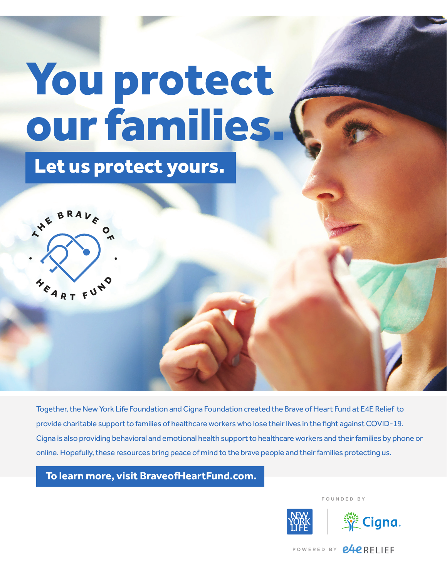# You protect our families.

## Let us protect yours.



Together, the New York Life Foundation and Cigna Foundation created the Brave of Heart Fund at E4E Relief to provide charitable support to families of healthcare workers who lose their lives in the fight against COVID-19. Cigna is also providing behavioral and emotional health support to healthcare workers and their families by phone or online. Hopefully, these resources bring peace of mind to the brave people and their families protecting us.

**To learn more, visit BraveofHeartFund.com.** 

FOUNDED BY



POWERED BY **P4PRFIIFF**